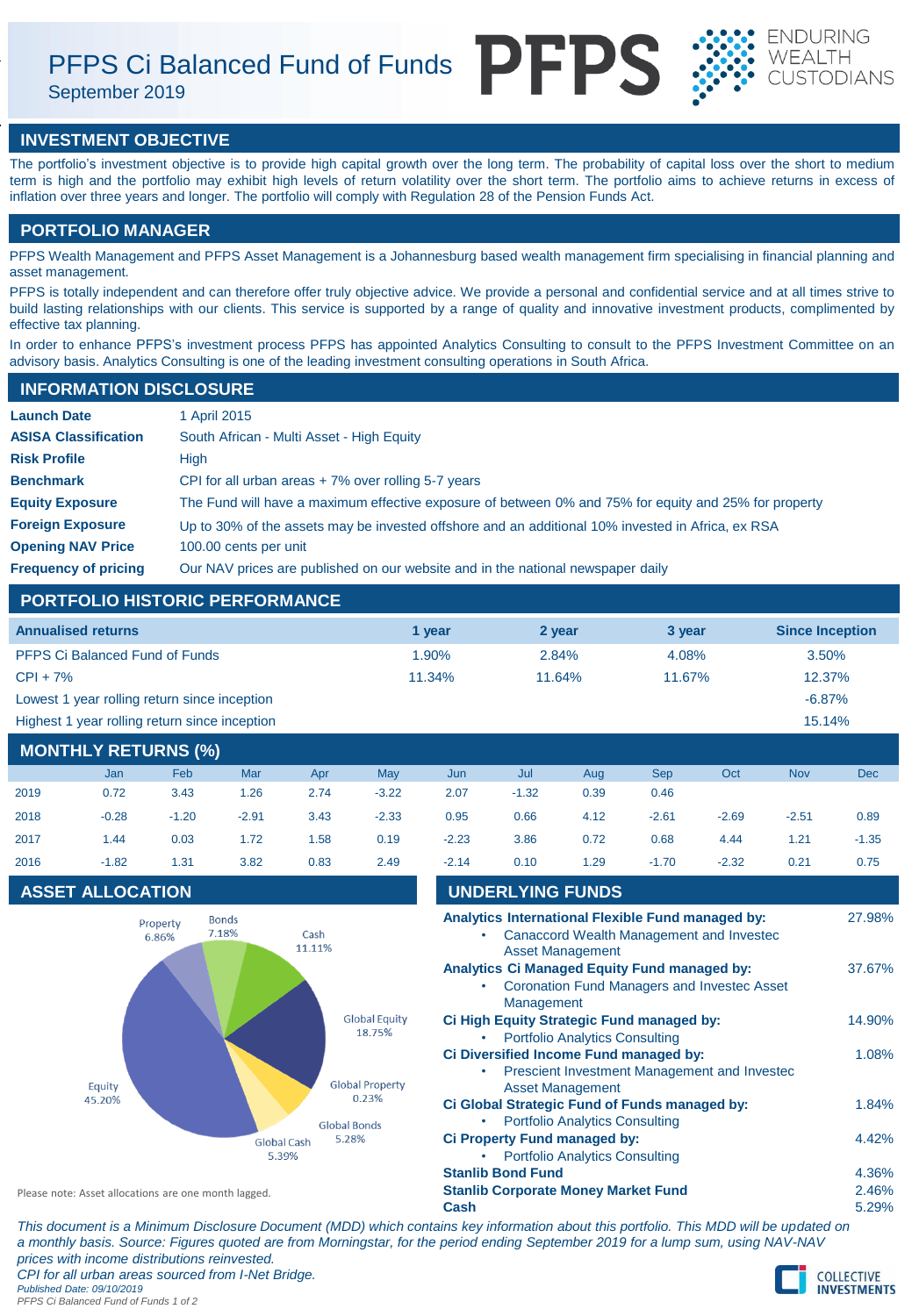PFPS Ci Balanced Fund of Funds PFPS

September 2019





# **INVESTMENT OBJECTIVE**

The portfolio's investment objective is to provide high capital growth over the long term. The probability of capital loss over the short to medium term is high and the portfolio may exhibit high levels of return volatility over the short term. The portfolio aims to achieve returns in excess of inflation over three years and longer. The portfolio will comply with Regulation 28 of the Pension Funds Act.

# **PORTFOLIO MANAGER**

PFPS Wealth Management and PFPS Asset Management is a Johannesburg based wealth management firm specialising in financial planning and asset management.

PFPS is totally independent and can therefore offer truly objective advice. We provide a personal and confidential service and at all times strive to build lasting relationships with our clients. This service is supported by a range of quality and innovative investment products, complimented by effective tax planning.

In order to enhance PFPS's investment process PFPS has appointed Analytics Consulting to consult to the PFPS Investment Committee on an advisory basis. Analytics Consulting is one of the leading investment consulting operations in South Africa.

# **INFORMATION DISCLOSURE**

| <b>Launch Date</b>          | 1 April 2015                                                                                          |
|-----------------------------|-------------------------------------------------------------------------------------------------------|
| <b>ASISA Classification</b> | South African - Multi Asset - High Equity                                                             |
| <b>Risk Profile</b>         | High                                                                                                  |
| <b>Benchmark</b>            | CPI for all urban areas $+7\%$ over rolling 5-7 years                                                 |
| <b>Equity Exposure</b>      | The Fund will have a maximum effective exposure of between 0% and 75% for equity and 25% for property |
| <b>Foreign Exposure</b>     | Up to 30% of the assets may be invested offshore and an additional 10% invested in Africa, ex RSA     |
| <b>Opening NAV Price</b>    | 100.00 cents per unit                                                                                 |
| <b>Frequency of pricing</b> | Our NAV prices are published on our website and in the national newspaper daily                       |

# **PORTFOLIO HISTORIC PERFORMANCE**

| <b>Annualised returns</b>                     | 1 vear    | 2 year | 3 year | <b>Since Inception</b> |
|-----------------------------------------------|-----------|--------|--------|------------------------|
| <b>PFPS Ci Balanced Fund of Funds</b>         | 1.90%     | 2.84%  | 4.08%  | 3.50%                  |
| $CPI + 7%$                                    | $11.34\%$ | 11.64% | 11.67% | 12.37%                 |
| Lowest 1 year rolling return since inception  |           |        |        | $-6.87%$               |
| Highest 1 year rolling return since inception |           |        |        | 15.14%                 |

# **MONTHLY RETURNS (%)**

|      | Jan     | Feb     | Mar     | Apr  | May     | Jun     | Jul     | Aug  | <b>Sep</b> | Oct     | <b>Nov</b> | <b>Dec</b> |
|------|---------|---------|---------|------|---------|---------|---------|------|------------|---------|------------|------------|
| 2019 | 0.72    | 3.43    | 1.26    | 2.74 | $-3.22$ | 2.07    | $-1.32$ | 0.39 | 0.46       |         |            |            |
| 2018 | $-0.28$ | $-1.20$ | $-2.91$ | 3.43 | $-2.33$ | 0.95    | 0.66    | 4.12 | $-2.61$    | $-2.69$ | $-2.51$    | 0.89       |
| 2017 | 1.44    | 0.03    | 1.72    | 1.58 | 0.19    | $-2.23$ | 3.86    | 0.72 | 0.68       | 4.44    | 1.21       | $-1.35$    |
| 2016 | $-1.82$ | 1.31    | 3.82    | 0.83 | 2.49    | $-2.14$ | 0.10    | 1.29 | $-1.70$    | $-2.32$ | 0.21       | 0.75       |

# **ASSET ALLOCATION**



| 2016             | $-1.82$ | 1.31                    | 3.82                                                 | 0.83                        | 2.49                            | $-2.14$                                                                      | 0.10                                       | 1.29                                      | $-1.70$                                       | $-2.32$                                                                                       | 0.21   | 0.75   |
|------------------|---------|-------------------------|------------------------------------------------------|-----------------------------|---------------------------------|------------------------------------------------------------------------------|--------------------------------------------|-------------------------------------------|-----------------------------------------------|-----------------------------------------------------------------------------------------------|--------|--------|
|                  |         | <b>ASSET ALLOCATION</b> |                                                      |                             |                                 |                                                                              | <b>UNDERLYING FUNDS</b>                    |                                           |                                               |                                                                                               |        |        |
|                  |         | Property<br>6.86%       | <b>Bonds</b><br>7.18%                                | Cash<br>11.11%              |                                 |                                                                              |                                            | <b>Asset Management</b>                   |                                               | Analytics International Flexible Fund managed by:<br>Canaccord Wealth Management and Invested |        | 27.98% |
|                  |         |                         |                                                      |                             |                                 | ٠                                                                            | Management                                 |                                           | Analytics Ci Managed Equity Fund managed by:  | <b>Coronation Fund Managers and Investec Asset</b>                                            |        | 37.67% |
|                  |         |                         | <b>Global Equity</b><br>18.75%                       |                             |                                 |                                                                              | <b>Portfolio Analytics Consulting</b>      | Ci High Equity Strategic Fund managed by: |                                               |                                                                                               | 14.90% |        |
|                  |         |                         |                                                      |                             |                                 |                                                                              |                                            |                                           | Ci Diversified Income Fund managed by:        | Prescient Investment Management and Investec                                                  |        | 1.08%  |
| Equity<br>45.20% |         |                         |                                                      |                             | <b>Global Property</b><br>0.23% |                                                                              |                                            | <b>Asset Management</b>                   |                                               |                                                                                               |        |        |
|                  |         |                         |                                                      |                             | <b>Global Bonds</b>             |                                                                              |                                            | <b>Portfolio Analytics Consulting</b>     | Ci Global Strategic Fund of Funds managed by: |                                                                                               |        | 1.84%  |
|                  |         |                         |                                                      | <b>Global Cash</b><br>5.39% | 5.28%                           | <b>Ci Property Fund managed by:</b><br><b>Portfolio Analytics Consulting</b> |                                            |                                           |                                               |                                                                                               |        | 4.42%  |
|                  |         |                         |                                                      |                             |                                 |                                                                              | <b>Stanlib Bond Fund</b>                   |                                           |                                               |                                                                                               |        | 4.36%  |
|                  |         |                         | Please note: Asset allocations are one month lagged. |                             |                                 |                                                                              | <b>Stanlib Corporate Money Market Fund</b> |                                           |                                               |                                                                                               |        | 2.46%  |

**Cash** 5.29%

*This document is a Minimum Disclosure Document (MDD) which contains key information about this portfolio. This MDD will be updated on a monthly basis. Source: Figures quoted are from Morningstar, for the period ending September 2019 for a lump sum, using NAV-NAV prices with income distributions reinvested. CPI for all urban areas sourced from I-Net Bridge. Published Date: 09/10/2019 PFPS Ci Balanced Fund of Funds 1 of 2*